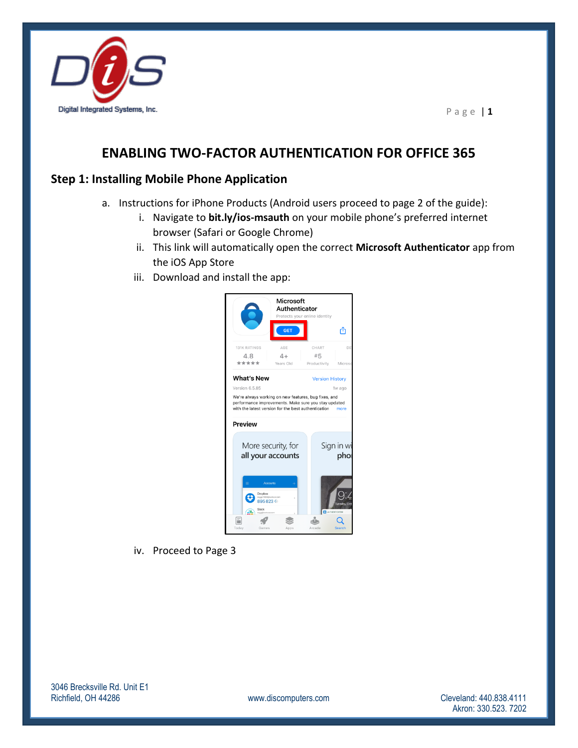

# **ENABLING TWO-FACTOR AUTHENTICATION FOR OFFICE 365**

### **Step 1: Installing Mobile Phone Application**

- a. Instructions for iPhone Products (Android users proceed to page 2 of the guide):
	- i. Navigate to **bit.ly/ios-msauth** on your mobile phone's preferred internet browser (Safari or Google Chrome)
	- ii. This link will automatically open the correct **Microsoft Authenticator** app from the iOS App Store
	- iii. Download and install the app:



iv. Proceed to Page 3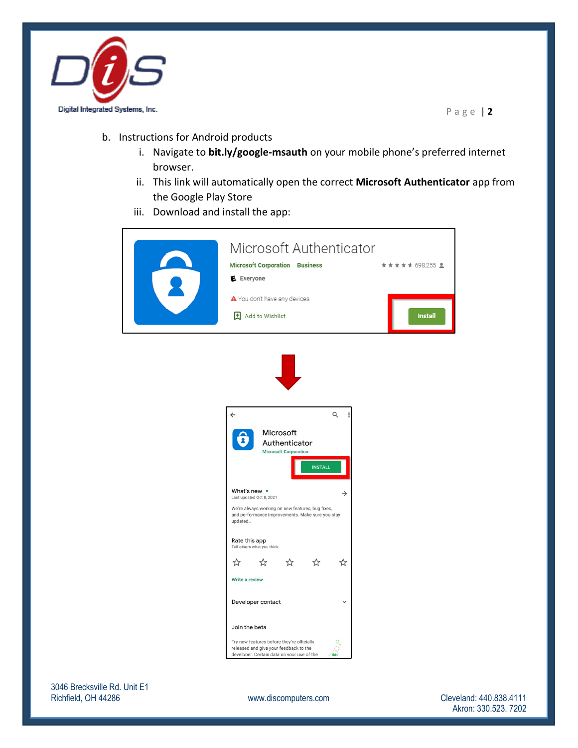

- b. Instructions for Android products
	- i. Navigate to **bit.ly/google-msauth** on your mobile phone's preferred internet browser.
	- ii. This link will automatically open the correct **Microsoft Authenticator** app from the Google Play Store
	- iii. Download and install the app:

| Microsoft Authenticator<br><b>Microsoft Corporation Business</b><br>E Everyone<br>▲ You don't have any devices<br>E Add to Wishlist                                          | ★★★★★ 698,255 <u>요</u><br><b>Install</b>   |
|------------------------------------------------------------------------------------------------------------------------------------------------------------------------------|--------------------------------------------|
|                                                                                                                                                                              |                                            |
| Q<br>$\leftarrow$<br>፧<br>Microsoft<br>2<br>Authenticator<br><b>Microsoft Corporation</b><br><b>INSTALL</b>                                                                  |                                            |
| What's new •<br>$\rightarrow$<br>Last updated Oct 8, 2021<br>We're always working on new features, bug fixes,<br>and performance improvements. Make sure you stay<br>updated |                                            |
| Rate this app<br>Tell others what you think<br>☆ ☆ ☆<br>☆<br>$\approx$<br>Write a review                                                                                     |                                            |
| Developer contact<br>$\checkmark$<br>Join the beta<br>Try new features before they're officially<br>О<br>released and give your feedback to the                              |                                            |
|                                                                                                                                                                              | developer. Certain data on your use of the |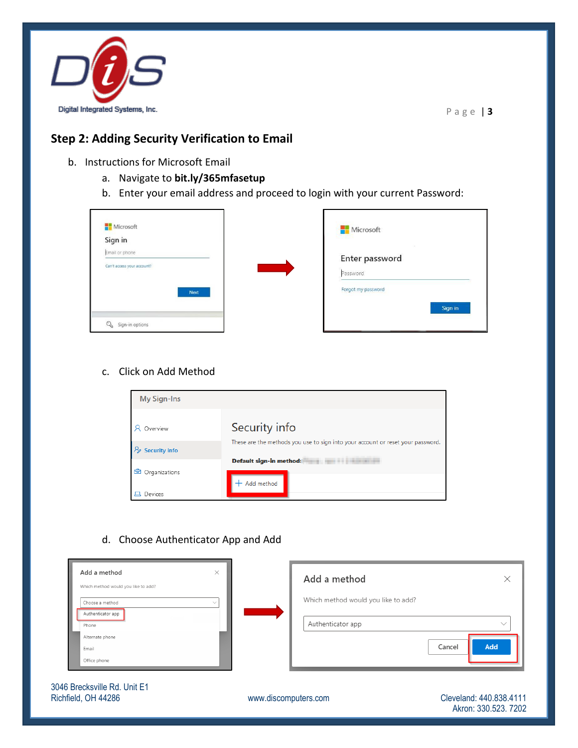

### **Step 2: Adding Security Verification to Email**

- b. Instructions for Microsoft Email
	- a. Navigate to **bit.ly/365mfasetup**
	- b. Enter your email address and proceed to login with your current Password:

| Microsoft<br>Sign in        | Microsoft          |
|-----------------------------|--------------------|
| Email or phone              | Enter password     |
| Can't access your account?  | Password           |
| <b>Next</b>                 | Forgot my password |
|                             | Sign in            |
| $\Omega$<br>Sign-in options |                    |

#### c. Click on Add Method



#### d. Choose Authenticator App and Add

| Add a method<br>Which method would you like to add? | $\times$     | Add a method                                             |               |
|-----------------------------------------------------|--------------|----------------------------------------------------------|---------------|
| Choose a method<br>Authenticator app<br>Phone       | $\checkmark$ | Which method would you like to add?<br>Authenticator app | $\sim$        |
| Alternate phone<br>Email<br>Office phone            |              |                                                          | Add<br>Cancel |

3046 Brecksville Rd. Unit E1 Richfield, OH 44286 **WWW.discomputers.com** Cleveland: 440.838.4111

Akron: 330.523. 7202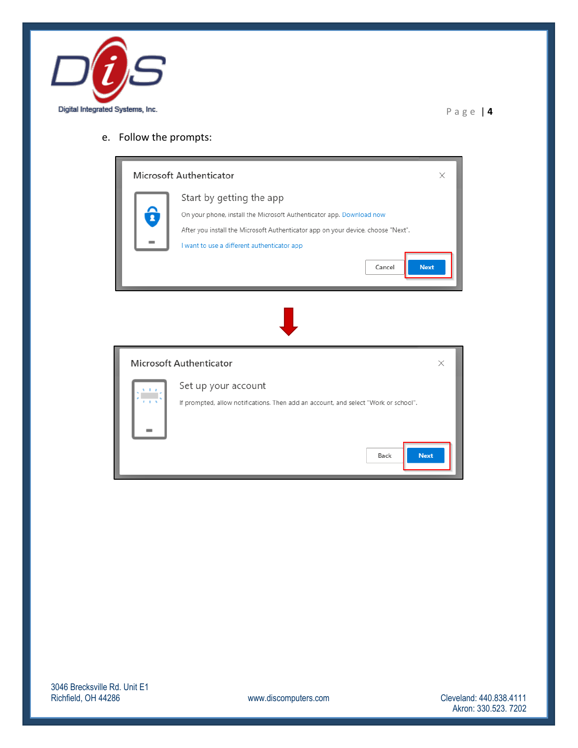

### e. Follow the prompts:

| Microsoft Authenticator<br>X                                                                                                                                                                                                                                 |
|--------------------------------------------------------------------------------------------------------------------------------------------------------------------------------------------------------------------------------------------------------------|
| Start by getting the app<br>On your phone, install the Microsoft Authenticator app. Download now<br>After you install the Microsoft Authenticator app on your device, choose "Next".<br>I want to use a different authenticator app<br><b>Next</b><br>Cancel |
|                                                                                                                                                                                                                                                              |
| Microsoft Authenticator<br>$\times$                                                                                                                                                                                                                          |
| Set up your account<br>If prompted, allow notifications. Then add an account, and select "Work or school".<br><b>Next</b><br>Back                                                                                                                            |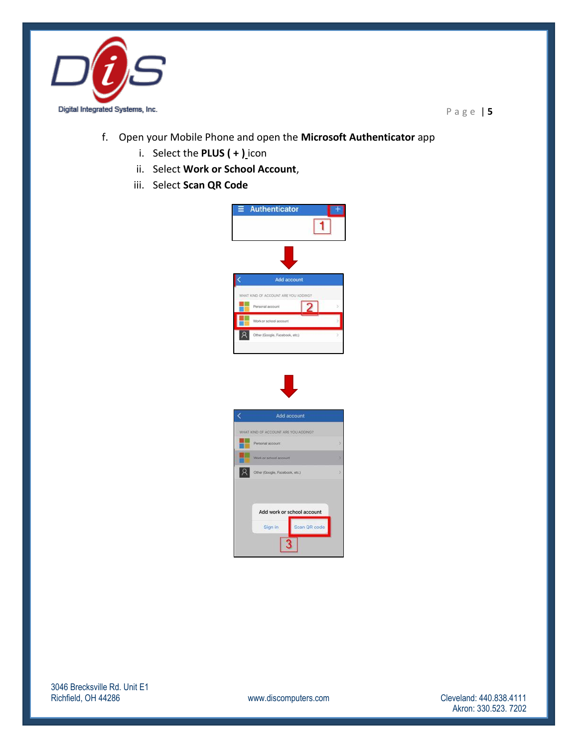

- f. Open your Mobile Phone and open the **Microsoft Authenticator** app
	- i. Select the **PLUS ( + )** icon
	- ii. Select **Work or School Account**,
	- iii. Select **Scan QR Code**



Add work or school account

3

Scan QR code

Sign in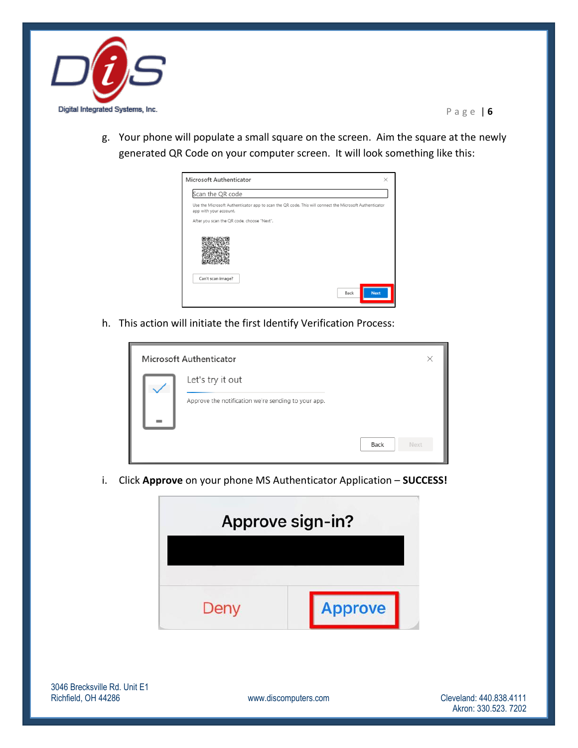

g. Your phone will populate a small square on the screen. Aim the square at the newly generated QR Code on your computer screen. It will look something like this:



h. This action will initiate the first Identify Verification Process:

|  | Microsoft Authenticator                             | $\times$     |  |
|--|-----------------------------------------------------|--------------|--|
|  | Let's try it out                                    |              |  |
|  | Approve the notification we're sending to your app. |              |  |
|  |                                                     | Back<br>Next |  |

i. Click **Approve** on your phone MS Authenticator Application – **SUCCESS!**